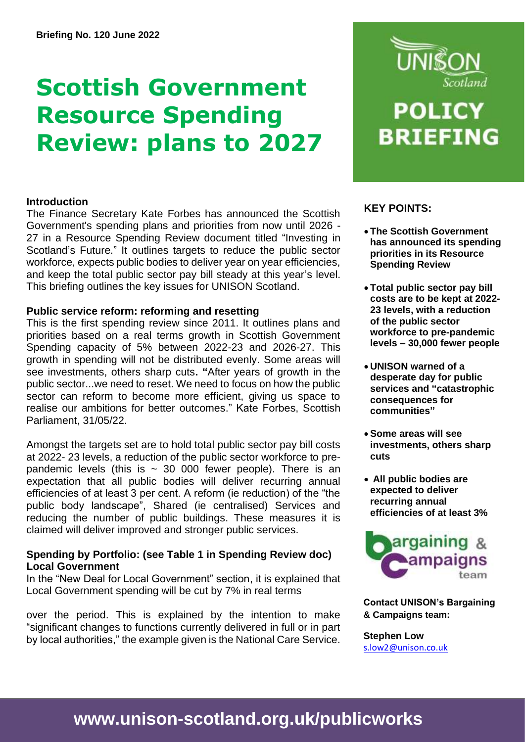# **Scottish Government Resource Spending Review: plans to 2027**

#### **Introduction**

The Finance Secretary Kate Forbes has announced the Scottish Government's spending plans and priorities from now until 2026 - 27 in a Resource Spending Review document titled "Investing in Scotland's Future." It outlines targets to reduce the public sector workforce, expects public bodies to deliver year on year efficiencies, and keep the total public sector pay bill steady at this year's level. This briefing outlines the key issues for UNISON Scotland.

#### **Public service reform: reforming and resetting**

This is the first spending review since 2011. It outlines plans and priorities based on a real terms growth in Scottish Government Spending capacity of 5% between 2022-23 and 2026-27. This growth in spending will not be distributed evenly. Some areas will see investments, others sharp cuts**. "**After years of growth in the public sector...we need to reset. We need to focus on how the public sector can reform to become more efficient, giving us space to realise our ambitions for better outcomes." Kate Forbes, Scottish Parliament, 31/05/22.

Amongst the targets set are to hold total public sector pay bill costs at 2022- 23 levels, a reduction of the public sector workforce to prepandemic levels (this is  $\sim$  30 000 fewer people). There is an expectation that all public bodies will deliver recurring annual efficiencies of at least 3 per cent. A reform (ie reduction) of the "the public body landscape", Shared (ie centralised) Services and reducing the number of public buildings. These measures it is claimed will deliver improved and stronger public services.

#### **Spending by Portfolio: (see Table 1 in Spending Review doc) Local Government**

In the "New Deal for Local Government" section, it is explained that Local Government spending will be cut by 7% in real terms

over the period. This is explained by the intention to make "significant changes to functions currently delivered in full or in part by local authorities," the example given is the National Care Service.



**BRIEFING** 

### **KEY POINTS:**

- **The Scottish Government has announced its spending priorities in its Resource Spending Review**
- **Total public sector pay bill costs are to be kept at 2022- 23 levels, with a reduction of the public sector workforce to pre-pandemic levels – 30,000 fewer people**
- **UNISON warned of a desperate day for public services and "catastrophic consequences for communities"**
- **Some areas will see investments, others sharp cuts**
- **All public bodies are expected to deliver recurring annual efficiencies of at least 3%**



**Contact UNISON's Bargaining & Campaigns team:**

**Stephen Low** [s.low2@unison.co.uk](mailto:s.low2@unison.co.uk)

## **www.unison-scotland.org.uk/publicworks**